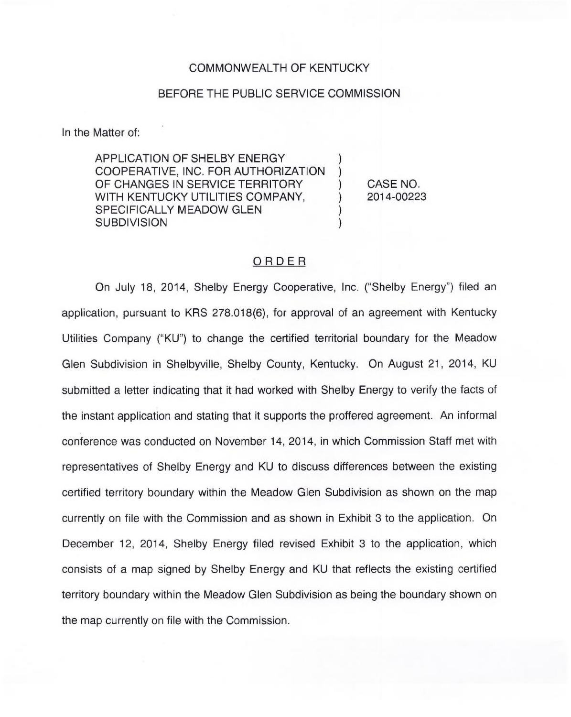#### COMMONWEALTH OF KENTUCKY

#### BEFORE THE PUBLIC SERVICE COMMISSION

In the Matter of:

APPLICATION OF SHELBY ENERGY COOPERATIVE, INC. FOR AUTHORIZATION OF CHANGES IN SERVICE TERRITORY WITH KENTUCKY UTILITIES COMPANY, SPECIFICALLY MEADOW GLEN **SUBDIVISION** 

) CASE NO. ) 2014-00223

) )

) )

### ORDER

On July 18, 2014, Shelby Energy Cooperative, Inc. ("Shelby Energy") filed ar application, pursuant to KRS 278.018(6), for approval of an agreement with Kentucky Utilities Company ("KU") to change the certified territorial boundary for the Meadow Glen Subdivision in Shelbyville, Shelby County, Kentucky. On August 21, 2014, KU submitted a letter indicating that it had worked with Shelby Energy to verify the facts of the instant application and stating that it supports the proffered agreement. An informal conference was conducted on November 14, 2014, in which Commission Staff met with representatives of Shelby Energy and KU to discuss differences between the existing certified territory boundary within the Meadow Glen Subdivision as shown on the map currently on file with the Commission and as shown in Exhibit 3 to the application. On December 12, 2014, Shelby Energy filed revised Exhibit 3 to the application, which consists of a map signed by Shelby Energy and KU that reflects the existing certified territory boundary within the Meadow Glen Subdivision as being the boundary shown on the map currently on file with the Commission.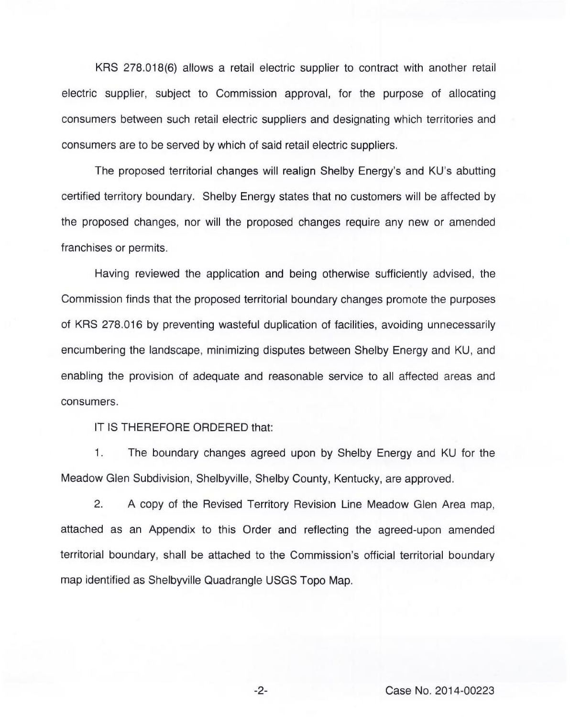KRS 278.018(6) allows a retail electric supplier to contract with another retail electric supplier, subject to Commission approval, for the purpose of allocating consumers between such retail electric suppliers and designating which territories and consumers are to be served by which of said retail electric suppliers.

The proposed territorial changes will realign Shelby Energy's and KU's abutting certified territory boundary. Shelby Energy states that no customers will be affected by the proposed changes, nor will the proposed changes require any new or amended franchises or permits.

Having reviewed the application and being otherwise sufficiently advised, the Commission finds that the proposed territorial boundary changes promote the purposes of KRS 278.016 by preventing wasteful duplication of facilities, avoiding unnecessarily encumbering the landscape, minimizing disputes between Shelby Energy and KU, and enabling the provision of adequate and reasonable service to all affected areas and consumers.

IT IS THEREFORE ORDERED that:

1. The boundary changes agreed upon by Shelby Energy and KU for the Meadow Glen Subdivision, Shelbyville, Shelby County, Kentucky, are approved.

2. A copy of the Revised Territory Revision Line Meadow Glen Area map, attached as an Appendix to this Order and reflecting the agreed-upon amended territorial boundary, shall be attached to the Commission's official territorial boundary map identified as Shelbyville Quadrangle USGS Topo Map.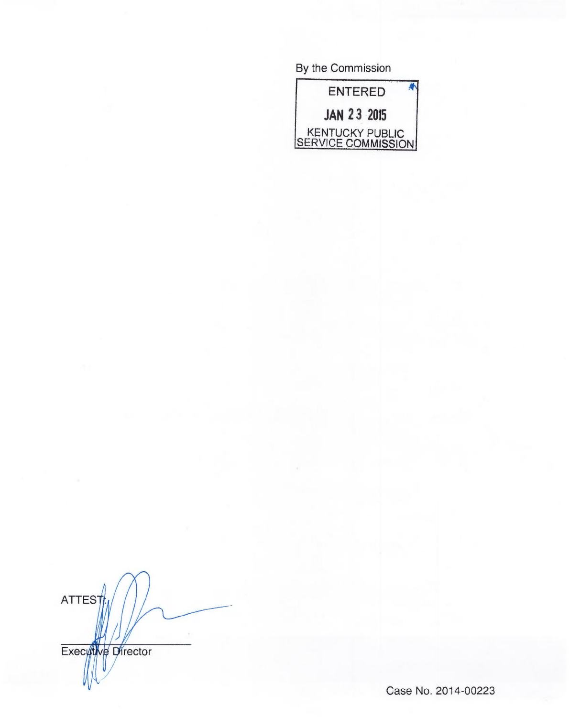By the Commission



ATTES Execytive Director

Case No. 2014-00223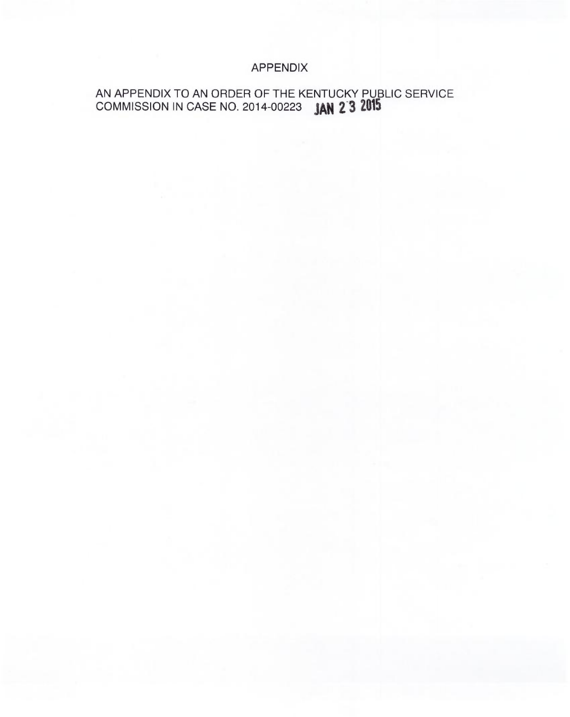# APPENDIX

# AN APPENDIX TO AN ORDER OF THE KENTUCKY PUBLIC SERVICE COMMISSION IN CASE NO. 2014-00223 **JAN 2<sup>3</sup>3 2015**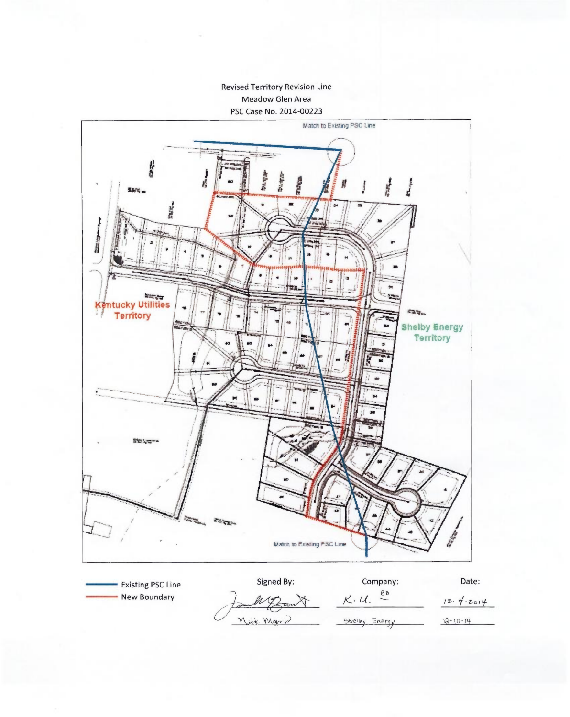### **Revised Territory Revision Line** Meadow Glen Area PSC Case No. 2014-00223



 $K. U.$   $20$ - New Boundary  $12.4.2014$ Nick Marin Shelby Energy  $12 - 10 - 14$